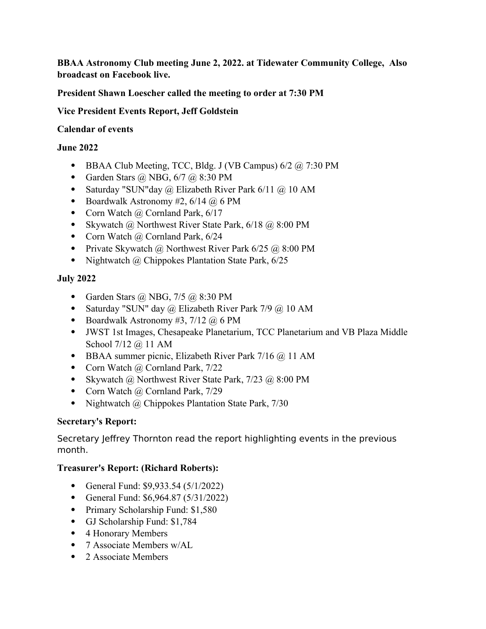**BBAA Astronomy Club meeting June 2, 2022. at Tidewater Community College, Also broadcast on Facebook live.**

**President Shawn Loescher called the meeting to order at 7:30 PM** 

**Vice President Events Report, Jeff Goldstein** 

### **Calendar of events**

### **June 2022**

- BBAA Club Meeting, TCC, Bldg. J (VB Campus)  $6/2$   $\omega$ , 7:30 PM
- Garden Stars  $\omega$  NBG, 6/7  $\omega$  8:30 PM
- Saturday "SUN"day @ Elizabeth River Park 6/11 @ 10 AM
- Boardwalk Astronomy #2,  $6/14$  @ 6 PM
- Corn Watch  $\omega$  Cornland Park, 6/17
- Skywatch @ Northwest River State Park, 6/18 @ 8:00 PM
- Corn Watch @ Cornland Park, 6/24
- Private Skywatch @ Northwest River Park  $6/25$  @ 8:00 PM
- Nightwatch  $\omega$  Chippokes Plantation State Park, 6/25

# **July 2022**

- Garden Stars  $\omega$  NBG, 7/5  $\omega$  8:30 PM
- Saturday "SUN" day  $\omega$  Elizabeth River Park 7/9  $\omega$  10 AM
- Boardwalk Astronomy #3,  $7/12$  @ 6 PM
- JWST 1st Images, Chesapeake Planetarium, TCC Planetarium and VB Plaza Middle School 7/12 @ 11 AM
- $\bullet$  BBAA summer picnic, Elizabeth River Park 7/16  $@$  11 AM
- Corn Watch  $\omega$  Cornland Park, 7/22
- Skywatch @ Northwest River State Park, 7/23 @ 8:00 PM
- Corn Watch  $\omega$  Cornland Park, 7/29
- Nightwatch @ Chippokes Plantation State Park, 7/30

# **Secretary's Report:**

Secretary Jeffrey Thornton read the report highlighting events in the previous month.

# **Treasurer's Report: (Richard Roberts):**

- General Fund: \$9,933.54 (5/1/2022)
- General Fund: \$6,964.87 (5/31/2022)
- Primary Scholarship Fund: \$1,580
- GJ Scholarship Fund: \$1,784
- 4 Honorary Members
- 7 Associate Members w/AL
- 2 Associate Members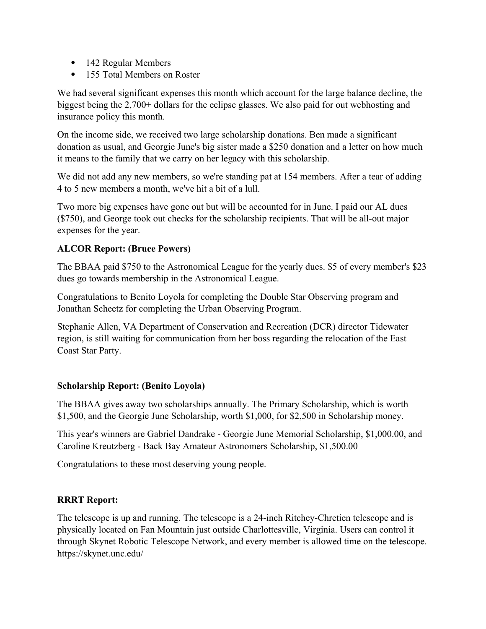- 142 Regular Members
- 155 Total Members on Roster

We had several significant expenses this month which account for the large balance decline, the biggest being the 2,700+ dollars for the eclipse glasses. We also paid for out webhosting and insurance policy this month.

On the income side, we received two large scholarship donations. Ben made a significant donation as usual, and Georgie June's big sister made a \$250 donation and a letter on how much it means to the family that we carry on her legacy with this scholarship.

We did not add any new members, so we're standing pat at 154 members. After a tear of adding 4 to 5 new members a month, we've hit a bit of a lull.

Two more big expenses have gone out but will be accounted for in June. I paid our AL dues (\$750), and George took out checks for the scholarship recipients. That will be all-out major expenses for the year.

# **ALCOR Report: (Bruce Powers)**

The BBAA paid \$750 to the Astronomical League for the yearly dues. \$5 of every member's \$23 dues go towards membership in the Astronomical League.

Congratulations to Benito Loyola for completing the Double Star Observing program and Jonathan Scheetz for completing the Urban Observing Program.

Stephanie Allen, VA Department of Conservation and Recreation (DCR) director Tidewater region, is still waiting for communication from her boss regarding the relocation of the East Coast Star Party.

#### **Scholarship Report: (Benito Loyola)**

The BBAA gives away two scholarships annually. The Primary Scholarship, which is worth \$1,500, and the Georgie June Scholarship, worth \$1,000, for \$2,500 in Scholarship money.

This year's winners are Gabriel Dandrake - Georgie June Memorial Scholarship, \$1,000.00, and Caroline Kreutzberg - Back Bay Amateur Astronomers Scholarship, \$1,500.00

Congratulations to these most deserving young people.

#### **RRRT Report:**

The telescope is up and running. The telescope is a 24-inch Ritchey-Chretien telescope and is physically located on Fan Mountain just outside Charlottesville, Virginia. Users can control it through Skynet Robotic Telescope Network, and every member is allowed time on the telescope. https://skynet.unc.edu/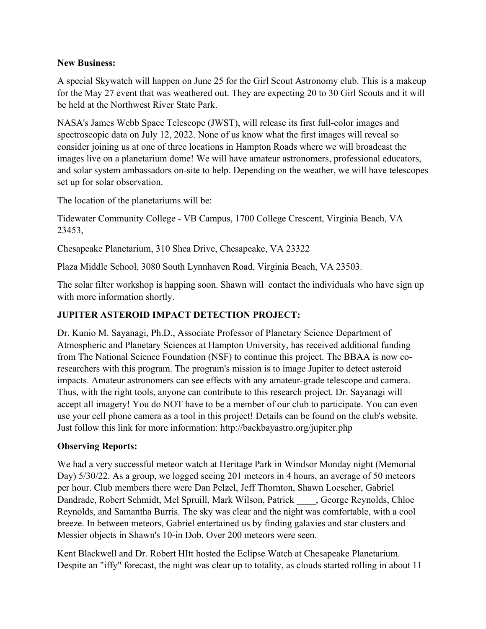### **New Business:**

A special Skywatch will happen on June 25 for the Girl Scout Astronomy club. This is a makeup for the May 27 event that was weathered out. They are expecting 20 to 30 Girl Scouts and it will be held at the Northwest River State Park.

NASA's James Webb Space Telescope (JWST), will release its first full-color images and spectroscopic data on July 12, 2022. None of us know what the first images will reveal so consider joining us at one of three locations in Hampton Roads where we will broadcast the images live on a planetarium dome! We will have amateur astronomers, professional educators, and solar system ambassadors on-site to help. Depending on the weather, we will have telescopes set up for solar observation.

The location of the planetariums will be:

Tidewater Community College - VB Campus, 1700 College Crescent, Virginia Beach, VA 23453,

Chesapeake Planetarium, 310 Shea Drive, Chesapeake, VA 23322

Plaza Middle School, 3080 South Lynnhaven Road, Virginia Beach, VA 23503.

The solar filter workshop is happing soon. Shawn will contact the individuals who have sign up with more information shortly.

# **JUPITER ASTEROID IMPACT DETECTION PROJECT:**

Dr. Kunio M. Sayanagi, Ph.D., Associate Professor of Planetary Science Department of Atmospheric and Planetary Sciences at Hampton University, has received additional funding from The National Science Foundation (NSF) to continue this project. The BBAA is now coresearchers with this program. The program's mission is to image Jupiter to detect asteroid impacts. Amateur astronomers can see effects with any amateur-grade telescope and camera. Thus, with the right tools, anyone can contribute to this research project. Dr. Sayanagi will accept all imagery! You do NOT have to be a member of our club to participate. You can even use your cell phone camera as a tool in this project! Details can be found on the club's website. Just follow this link for more information: http://backbayastro.org/jupiter.php

# **Observing Reports:**

We had a very successful meteor watch at Heritage Park in Windsor Monday night (Memorial Day) 5/30/22. As a group, we logged seeing 201 meteors in 4 hours, an average of 50 meteors per hour. Club members there were Dan Pelzel, Jeff Thornton, Shawn Loescher, Gabriel Dandrade, Robert Schmidt, Mel Spruill, Mark Wilson, Patrick \_\_\_\_, George Reynolds, Chloe Reynolds, and Samantha Burris. The sky was clear and the night was comfortable, with a cool breeze. In between meteors, Gabriel entertained us by finding galaxies and star clusters and Messier objects in Shawn's 10-in Dob. Over 200 meteors were seen.

Kent Blackwell and Dr. Robert HItt hosted the Eclipse Watch at Chesapeake Planetarium. Despite an "iffy" forecast, the night was clear up to totality, as clouds started rolling in about 11